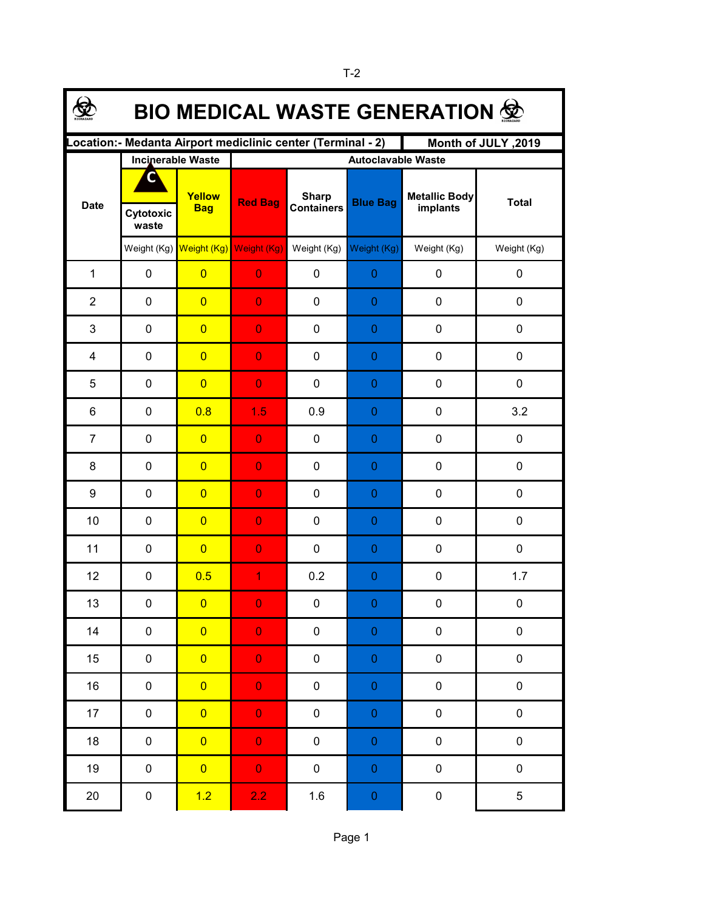| <b>BIO MEDICAL WASTE GENERATION 觉</b>                                              |                    |                                     |                |                                   |                  |                                  |              |  |  |  |
|------------------------------------------------------------------------------------|--------------------|-------------------------------------|----------------|-----------------------------------|------------------|----------------------------------|--------------|--|--|--|
| ocation: - Medanta Airport mediclinic center (Terminal - 2)<br>Month of JULY, 2019 |                    |                                     |                |                                   |                  |                                  |              |  |  |  |
|                                                                                    |                    | <b>Incinerable Waste</b>            |                | <b>Autoclavable Waste</b>         |                  |                                  |              |  |  |  |
| <b>Date</b>                                                                        | Cytotoxic<br>waste | Yellow<br><b>Bag</b>                | <b>Red Bag</b> | <b>Sharp</b><br><b>Containers</b> | <b>Blue Bag</b>  | <b>Metallic Body</b><br>implants | <b>Total</b> |  |  |  |
|                                                                                    |                    | Weight (Kg) Weight (Kg) Weight (Kg) |                | Weight (Kg)                       | Weight (Kg)      | Weight (Kg)                      | Weight (Kg)  |  |  |  |
| $\mathbf{1}$                                                                       | $\pmb{0}$          | $\overline{0}$                      | $\overline{0}$ | 0                                 | $\boldsymbol{0}$ | $\pmb{0}$                        | 0            |  |  |  |
| $\overline{2}$                                                                     | $\mathbf 0$        | $\overline{0}$                      | $\overline{0}$ | 0                                 | 0                | $\mathbf 0$                      | 0            |  |  |  |
| 3                                                                                  | $\mathbf 0$        | $\overline{0}$                      | $\overline{0}$ | 0                                 | 0                | $\mathbf 0$                      | 0            |  |  |  |
| 4                                                                                  | $\mathbf 0$        | $\overline{0}$                      | $\overline{0}$ | 0                                 | $\boldsymbol{0}$ | $\mathbf 0$                      | 0            |  |  |  |
| 5                                                                                  | $\mathbf 0$        | $\overline{0}$                      | $\overline{0}$ | 0                                 | 0                | $\mathbf 0$                      | 0            |  |  |  |
| 6                                                                                  | $\mathbf 0$        | 0.8                                 | 1.5            | 0.9                               | 0                | $\mathbf 0$                      | 3.2          |  |  |  |
| $\overline{7}$                                                                     | $\mathbf 0$        | $\overline{0}$                      | $\overline{0}$ | 0                                 | 0                | $\mathbf 0$                      | 0            |  |  |  |
| 8                                                                                  | $\mathbf 0$        | $\overline{0}$                      | $\overline{0}$ | 0                                 | 0                | $\mathbf 0$                      | 0            |  |  |  |
| 9                                                                                  | $\mathbf 0$        | $\overline{0}$                      | $\overline{0}$ | 0                                 | 0                | $\mathbf 0$                      | 0            |  |  |  |
| 10                                                                                 | $\mathbf 0$        | $\overline{0}$                      | $\overline{0}$ | 0                                 | 0                | $\mathbf 0$                      | 0            |  |  |  |
| 11                                                                                 | $\mathbf 0$        | $\overline{0}$                      | $\overline{0}$ | 0                                 | 0                | $\mathbf 0$                      | 0            |  |  |  |
| 12                                                                                 | $\pmb{0}$          | 0.5                                 | 1              | 0.2                               | 0                | $\pmb{0}$                        | 1.7          |  |  |  |
| 13                                                                                 | 0                  | $\overline{\mathbf{0}}$             | $\Omega$       | 0                                 | $\Omega$         | 0                                | $\mathbf 0$  |  |  |  |
| 14                                                                                 | $\pmb{0}$          | $\overline{0}$                      | $\overline{0}$ | $\pmb{0}$                         | $\boldsymbol{0}$ | $\pmb{0}$                        | 0            |  |  |  |
| 15                                                                                 | $\pmb{0}$          | $\overline{0}$                      | $\overline{0}$ | $\pmb{0}$                         | $\boldsymbol{0}$ | $\pmb{0}$                        | 0            |  |  |  |
| 16                                                                                 | $\pmb{0}$          | $\overline{0}$                      | $\overline{0}$ | 0                                 | $\mathbf 0$      | $\pmb{0}$                        | 0            |  |  |  |
| 17                                                                                 | $\pmb{0}$          | $\overline{0}$                      | $\overline{0}$ | $\pmb{0}$                         | $\pmb{0}$        | $\pmb{0}$                        | 0            |  |  |  |
| 18                                                                                 | $\pmb{0}$          | $\overline{0}$                      | $\mathbf 0$    | $\pmb{0}$                         | $\mathbf 0$      | $\pmb{0}$                        | 0            |  |  |  |
| 19                                                                                 | 0                  | $\overline{0}$                      | $\overline{0}$ | $\pmb{0}$                         | $\boldsymbol{0}$ | $\pmb{0}$                        | 0            |  |  |  |
| 20                                                                                 | $\pmb{0}$          | 1.2                                 | 2.2            | $1.6\,$                           | $\pmb{0}$        | $\pmb{0}$                        | 5            |  |  |  |